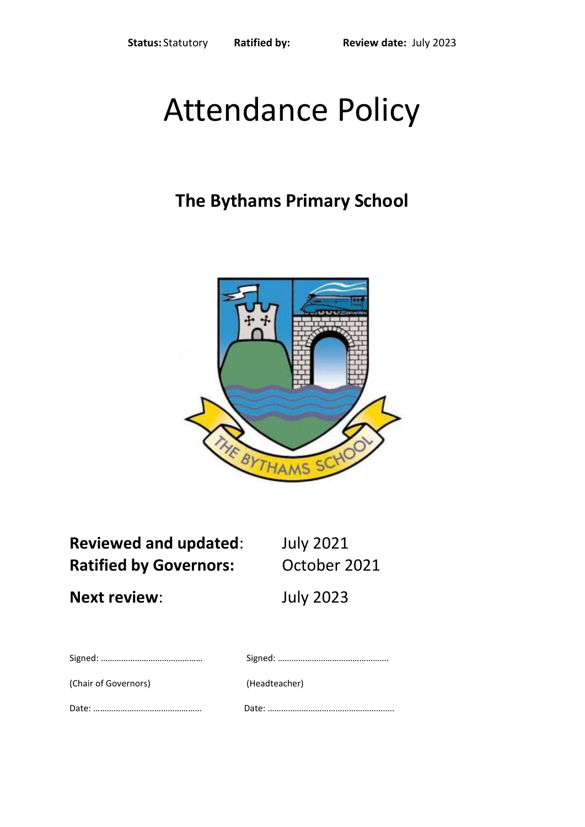# Attendance Policy

# **The Bythams Primary School**



**Reviewed and updated**: July 2021 **Ratified by Governors:** October 2021

**Next review**: July 2023

| (Chair of Governors) | (Headteacher) |
|----------------------|---------------|

Date: ………………………………………… Date: ………………………………………………..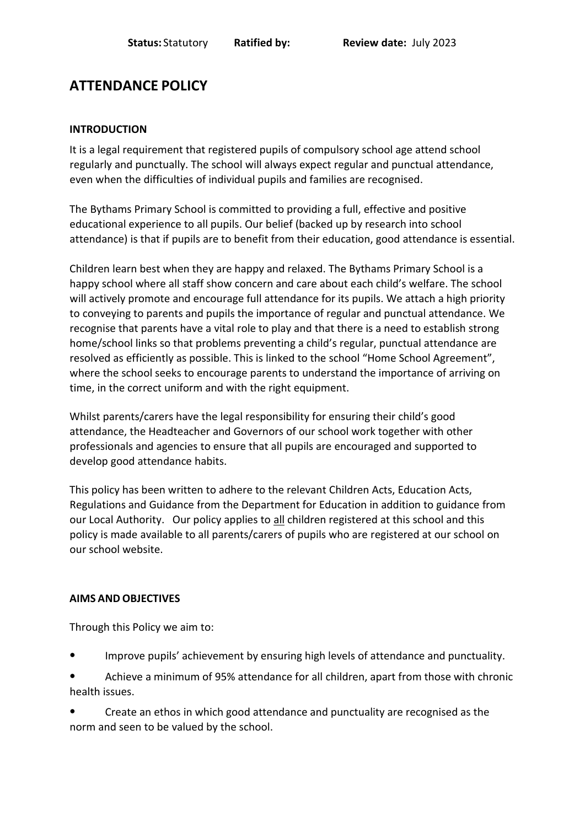# **ATTENDANCE POLICY**

#### **INTRODUCTION**

It is a legal requirement that registered pupils of compulsory school age attend school regularly and punctually. The school will always expect regular and punctual attendance, even when the difficulties of individual pupils and families are recognised.

The Bythams Primary School is committed to providing a full, effective and positive educational experience to all pupils. Our belief (backed up by research into school attendance) is that if pupils are to benefit from their education, good attendance is essential.

Children learn best when they are happy and relaxed. The Bythams Primary School is a happy school where all staff show concern and care about each child's welfare. The school will actively promote and encourage full attendance for its pupils. We attach a high priority to conveying to parents and pupils the importance of regular and punctual attendance. We recognise that parents have a vital role to play and that there is a need to establish strong home/school links so that problems preventing a child's regular, punctual attendance are resolved as efficiently as possible. This is linked to the school "Home School Agreement", where the school seeks to encourage parents to understand the importance of arriving on time, in the correct uniform and with the right equipment.

Whilst parents/carers have the legal responsibility for ensuring their child's good attendance, the Headteacher and Governors of our school work together with other professionals and agencies to ensure that all pupils are encouraged and supported to develop good attendance habits.

This policy has been written to adhere to the relevant Children Acts, Education Acts, Regulations and Guidance from the Department for Education in addition to guidance from our Local Authority. Our policy applies to all children registered at this school and this policy is made available to all parents/carers of pupils who are registered at our school on our school website.

#### **AIMS AND OBJECTIVES**

Through this Policy we aim to:

- Improve pupils' achievement by ensuring high levels of attendance and punctuality.
- Achieve a minimum of 95% attendance for all children, apart from those with chronic health issues.
- Create an ethos in which good attendance and punctuality are recognised as the norm and seen to be valued by the school.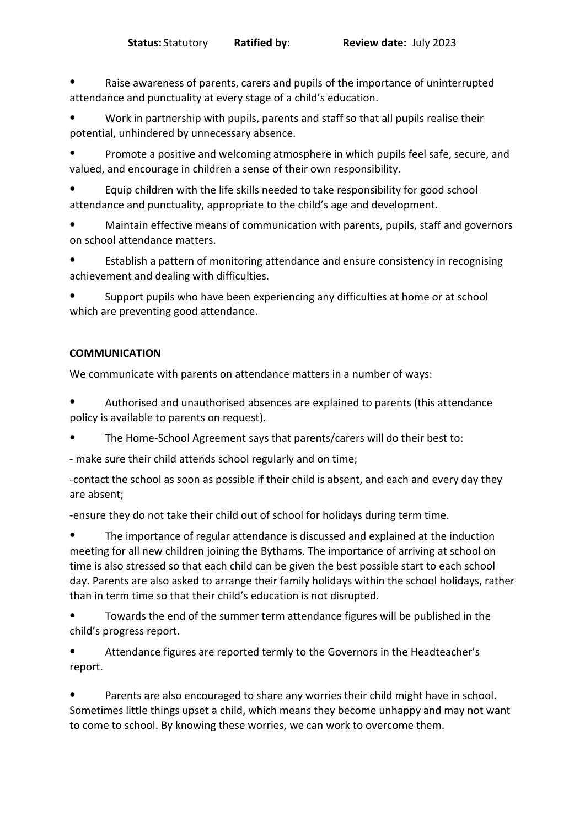Raise awareness of parents, carers and pupils of the importance of uninterrupted attendance and punctuality at every stage of a child's education.

Work in partnership with pupils, parents and staff so that all pupils realise their potential, unhindered by unnecessary absence.

● Promote a positive and welcoming atmosphere in which pupils feel safe, secure, and valued, and encourage in children a sense of their own responsibility.

Equip children with the life skills needed to take responsibility for good school attendance and punctuality, appropriate to the child's age and development.

Maintain effective means of communication with parents, pupils, staff and governors on school attendance matters.

Establish a pattern of monitoring attendance and ensure consistency in recognising achievement and dealing with difficulties.

Support pupils who have been experiencing any difficulties at home or at school which are preventing good attendance.

#### **COMMUNICATION**

We communicate with parents on attendance matters in a number of ways:

Authorised and unauthorised absences are explained to parents (this attendance policy is available to parents on request).

● The Home-School Agreement says that parents/carers will do their best to:

- make sure their child attends school regularly and on time;

-contact the school as soon as possible if their child is absent, and each and every day they are absent;

-ensure they do not take their child out of school for holidays during term time.

The importance of regular attendance is discussed and explained at the induction meeting for all new children joining the Bythams. The importance of arriving at school on time is also stressed so that each child can be given the best possible start to each school day. Parents are also asked to arrange their family holidays within the school holidays, rather than in term time so that their child's education is not disrupted.

● Towards the end of the summer term attendance figures will be published in the child's progress report.

Attendance figures are reported termly to the Governors in the Headteacher's report.

Parents are also encouraged to share any worries their child might have in school. Sometimes little things upset a child, which means they become unhappy and may not want to come to school. By knowing these worries, we can work to overcome them.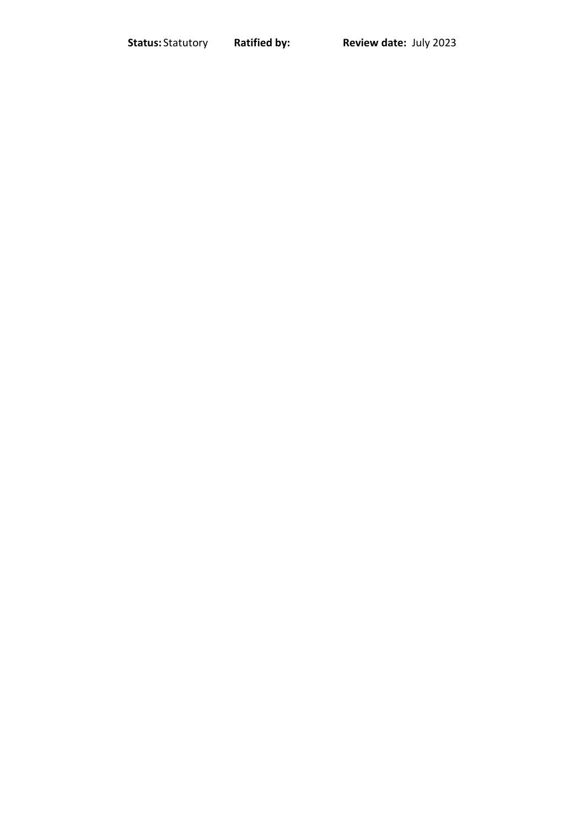**Status:** Statutory **Ratified by: Review date:** July 2023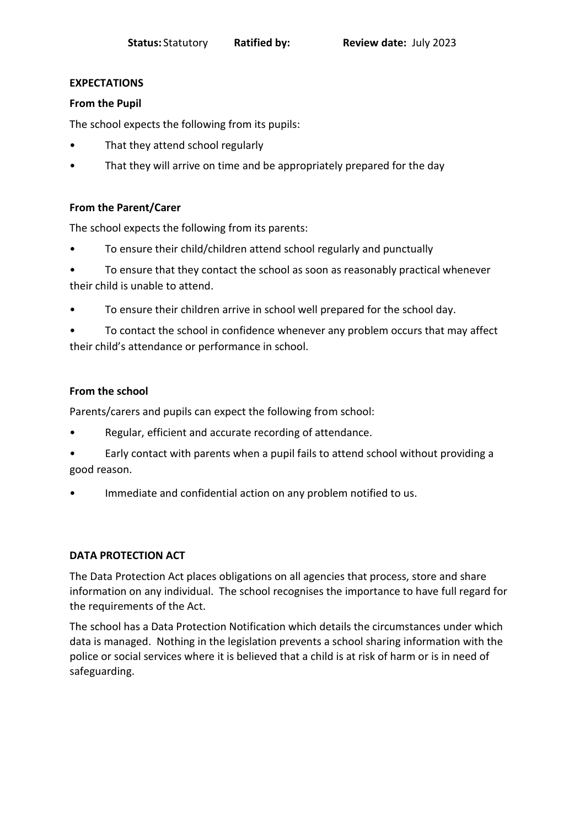#### **EXPECTATIONS**

#### **From the Pupil**

The school expects the following from its pupils:

- That they attend school regularly
- That they will arrive on time and be appropriately prepared for the day

#### **From the Parent/Carer**

The school expects the following from its parents:

- To ensure their child/children attend school regularly and punctually
- To ensure that they contact the school as soon as reasonably practical whenever their child is unable to attend.
- To ensure their children arrive in school well prepared for the school day.

• To contact the school in confidence whenever any problem occurs that may affect their child's attendance or performance in school.

#### **From the school**

Parents/carers and pupils can expect the following from school:

- Regular, efficient and accurate recording of attendance.
- Early contact with parents when a pupil fails to attend school without providing a good reason.
- Immediate and confidential action on any problem notified to us.

#### **DATA PROTECTION ACT**

The Data Protection Act places obligations on all agencies that process, store and share information on any individual. The school recognises the importance to have full regard for the requirements of the Act.

The school has a Data Protection Notification which details the circumstances under which data is managed. Nothing in the legislation prevents a school sharing information with the police or social services where it is believed that a child is at risk of harm or is in need of safeguarding.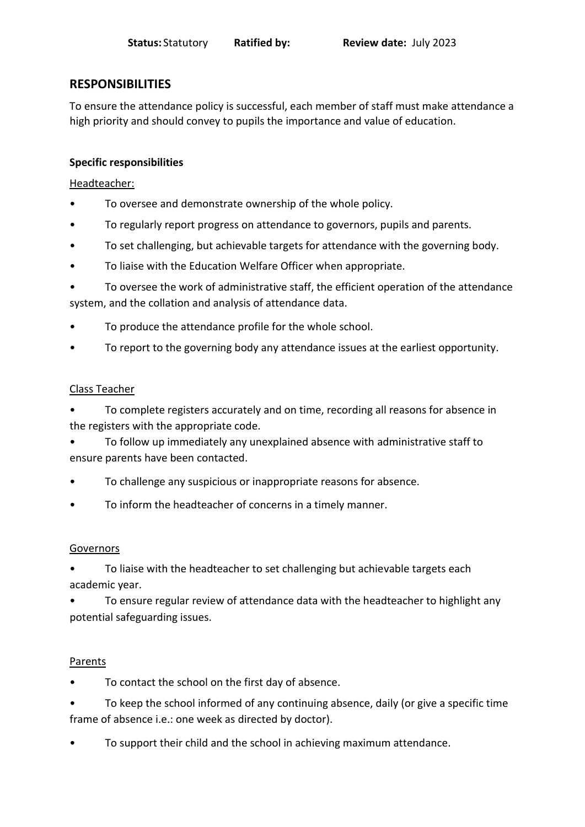### **RESPONSIBILITIES**

To ensure the attendance policy is successful, each member of staff must make attendance a high priority and should convey to pupils the importance and value of education.

#### **Specific responsibilities**

#### Headteacher:

- To oversee and demonstrate ownership of the whole policy.
- To regularly report progress on attendance to governors, pupils and parents.
- To set challenging, but achievable targets for attendance with the governing body.
- To liaise with the Education Welfare Officer when appropriate.
- To oversee the work of administrative staff, the efficient operation of the attendance system, and the collation and analysis of attendance data.
- To produce the attendance profile for the whole school.
- To report to the governing body any attendance issues at the earliest opportunity.

#### Class Teacher

- To complete registers accurately and on time, recording all reasons for absence in the registers with the appropriate code.
- To follow up immediately any unexplained absence with administrative staff to ensure parents have been contacted.
- To challenge any suspicious or inappropriate reasons for absence.
- To inform the headteacher of concerns in a timely manner.

#### Governors

- To liaise with the headteacher to set challenging but achievable targets each academic year.
- To ensure regular review of attendance data with the headteacher to highlight any potential safeguarding issues.

#### Parents

- To contact the school on the first day of absence.
- To keep the school informed of any continuing absence, daily (or give a specific time frame of absence i.e.: one week as directed by doctor).
- To support their child and the school in achieving maximum attendance.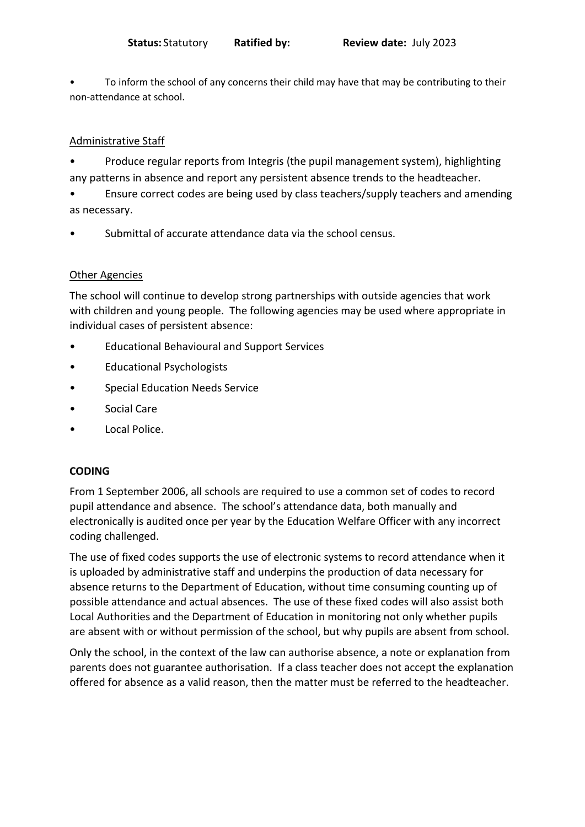• To inform the school of any concerns their child may have that may be contributing to their non-attendance at school.

#### Administrative Staff

• Produce regular reports from Integris (the pupil management system), highlighting any patterns in absence and report any persistent absence trends to the headteacher.

• Ensure correct codes are being used by class teachers/supply teachers and amending as necessary.

Submittal of accurate attendance data via the school census.

#### Other Agencies

The school will continue to develop strong partnerships with outside agencies that work with children and young people. The following agencies may be used where appropriate in individual cases of persistent absence:

- Educational Behavioural and Support Services
- Educational Psychologists
- Special Education Needs Service
- Social Care
- Local Police.

#### **CODING**

From 1 September 2006, all schools are required to use a common set of codes to record pupil attendance and absence. The school's attendance data, both manually and electronically is audited once per year by the Education Welfare Officer with any incorrect coding challenged.

The use of fixed codes supports the use of electronic systems to record attendance when it is uploaded by administrative staff and underpins the production of data necessary for absence returns to the Department of Education, without time consuming counting up of possible attendance and actual absences. The use of these fixed codes will also assist both Local Authorities and the Department of Education in monitoring not only whether pupils are absent with or without permission of the school, but why pupils are absent from school.

Only the school, in the context of the law can authorise absence, a note or explanation from parents does not guarantee authorisation. If a class teacher does not accept the explanation offered for absence as a valid reason, then the matter must be referred to the headteacher.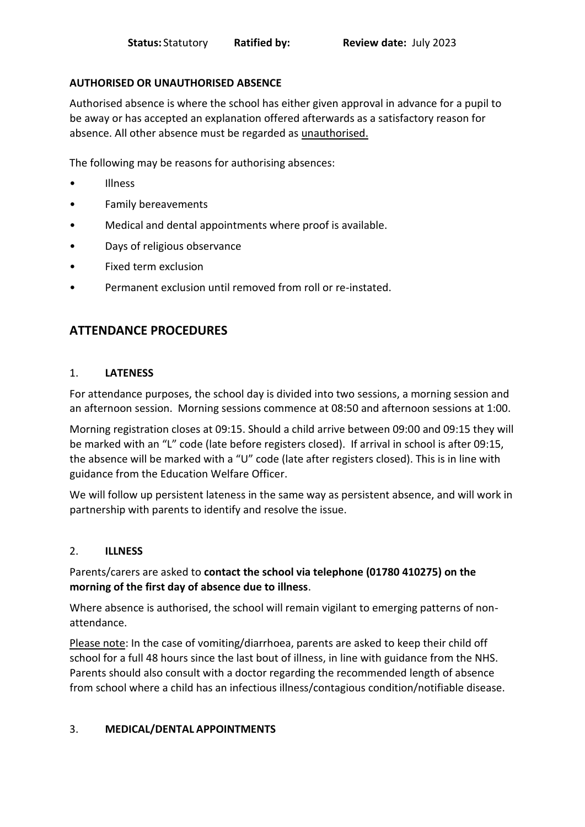#### **AUTHORISED OR UNAUTHORISED ABSENCE**

Authorised absence is where the school has either given approval in advance for a pupil to be away or has accepted an explanation offered afterwards as a satisfactory reason for absence. All other absence must be regarded as unauthorised.

The following may be reasons for authorising absences:

- Illness
- Family bereavements
- Medical and dental appointments where proof is available.
- Days of religious observance
- Fixed term exclusion
- Permanent exclusion until removed from roll or re-instated.

## **ATTENDANCE PROCEDURES**

#### 1. **LATENESS**

For attendance purposes, the school day is divided into two sessions, a morning session and an afternoon session. Morning sessions commence at 08:50 and afternoon sessions at 1:00.

Morning registration closes at 09:15. Should a child arrive between 09:00 and 09:15 they will be marked with an "L" code (late before registers closed). If arrival in school is after 09:15, the absence will be marked with a "U" code (late after registers closed). This is in line with guidance from the Education Welfare Officer.

We will follow up persistent lateness in the same way as persistent absence, and will work in partnership with parents to identify and resolve the issue.

#### 2. **ILLNESS**

#### Parents/carers are asked to **contact the school via telephone (01780 410275) on the morning of the first day of absence due to illness**.

Where absence is authorised, the school will remain vigilant to emerging patterns of nonattendance.

Please note: In the case of vomiting/diarrhoea, parents are asked to keep their child off school for a full 48 hours since the last bout of illness, in line with guidance from the NHS. Parents should also consult with a doctor regarding the recommended length of absence from school where a child has an infectious illness/contagious condition/notifiable disease.

#### 3. **MEDICAL/DENTAL APPOINTMENTS**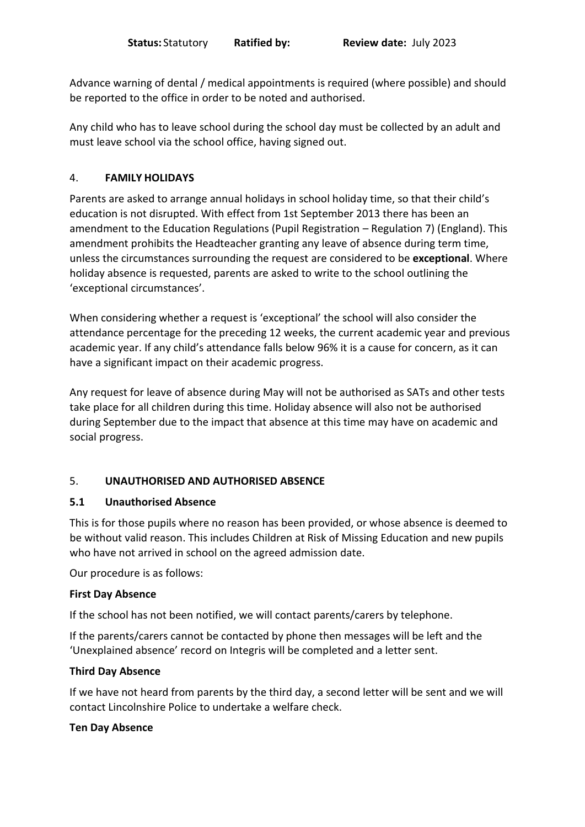Advance warning of dental / medical appointments is required (where possible) and should be reported to the office in order to be noted and authorised.

Any child who has to leave school during the school day must be collected by an adult and must leave school via the school office, having signed out.

#### 4. **FAMILY HOLIDAYS**

Parents are asked to arrange annual holidays in school holiday time, so that their child's education is not disrupted. With effect from 1st September 2013 there has been an amendment to the Education Regulations (Pupil Registration – Regulation 7) (England). This amendment prohibits the Headteacher granting any leave of absence during term time, unless the circumstances surrounding the request are considered to be **exceptional**. Where holiday absence is requested, parents are asked to write to the school outlining the 'exceptional circumstances'.

When considering whether a request is 'exceptional' the school will also consider the attendance percentage for the preceding 12 weeks, the current academic year and previous academic year. If any child's attendance falls below 96% it is a cause for concern, as it can have a significant impact on their academic progress.

Any request for leave of absence during May will not be authorised as SATs and other tests take place for all children during this time. Holiday absence will also not be authorised during September due to the impact that absence at this time may have on academic and social progress.

#### 5. **UNAUTHORISED AND AUTHORISED ABSENCE**

#### **5.1 Unauthorised Absence**

This is for those pupils where no reason has been provided, or whose absence is deemed to be without valid reason. This includes Children at Risk of Missing Education and new pupils who have not arrived in school on the agreed admission date.

Our procedure is as follows:

#### **First Day Absence**

If the school has not been notified, we will contact parents/carers by telephone.

If the parents/carers cannot be contacted by phone then messages will be left and the 'Unexplained absence' record on Integris will be completed and a letter sent.

#### **Third Day Absence**

If we have not heard from parents by the third day, a second letter will be sent and we will contact Lincolnshire Police to undertake a welfare check.

#### **Ten Day Absence**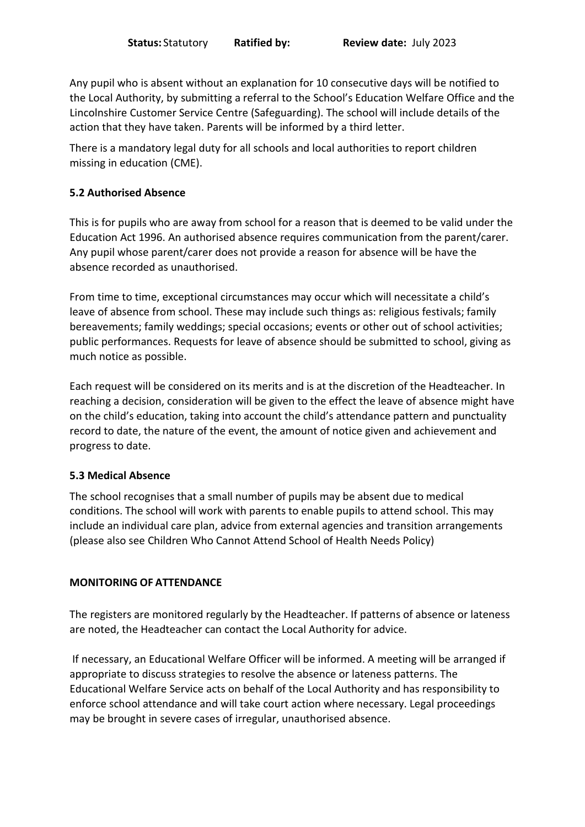Any pupil who is absent without an explanation for 10 consecutive days will be notified to the Local Authority, by submitting a referral to the School's Education Welfare Office and the Lincolnshire Customer Service Centre (Safeguarding). The school will include details of the action that they have taken. Parents will be informed by a third letter.

There is a mandatory legal duty for all schools and local authorities to report children missing in education (CME).

#### **5.2 Authorised Absence**

This is for pupils who are away from school for a reason that is deemed to be valid under the Education Act 1996. An authorised absence requires communication from the parent/carer. Any pupil whose parent/carer does not provide a reason for absence will be have the absence recorded as unauthorised.

From time to time, exceptional circumstances may occur which will necessitate a child's leave of absence from school. These may include such things as: religious festivals; family bereavements; family weddings; special occasions; events or other out of school activities; public performances. Requests for leave of absence should be submitted to school, giving as much notice as possible.

Each request will be considered on its merits and is at the discretion of the Headteacher. In reaching a decision, consideration will be given to the effect the leave of absence might have on the child's education, taking into account the child's attendance pattern and punctuality record to date, the nature of the event, the amount of notice given and achievement and progress to date.

#### **5.3 Medical Absence**

The school recognises that a small number of pupils may be absent due to medical conditions. The school will work with parents to enable pupils to attend school. This may include an individual care plan, advice from external agencies and transition arrangements (please also see Children Who Cannot Attend School of Health Needs Policy)

#### **MONITORING OF ATTENDANCE**

The registers are monitored regularly by the Headteacher. If patterns of absence or lateness are noted, the Headteacher can contact the Local Authority for advice.

If necessary, an Educational Welfare Officer will be informed. A meeting will be arranged if appropriate to discuss strategies to resolve the absence or lateness patterns. The Educational Welfare Service acts on behalf of the Local Authority and has responsibility to enforce school attendance and will take court action where necessary. Legal proceedings may be brought in severe cases of irregular, unauthorised absence.